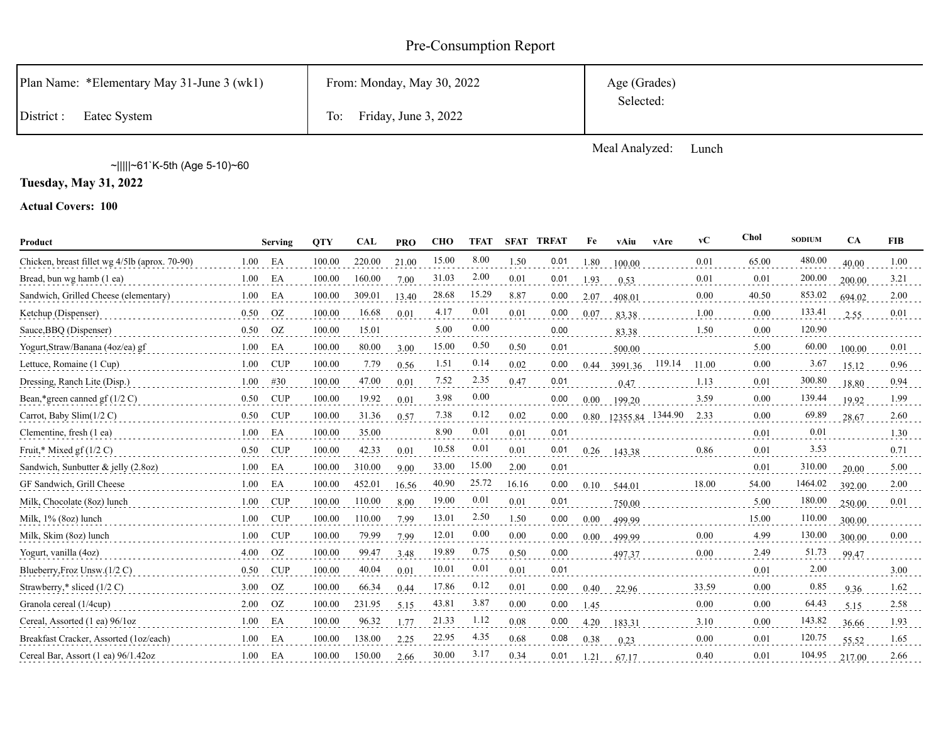# Pre-Consumption Report

| Plan Name: *Elementary May 31-June 3 (wk1) | From: Monday, May 30, 2022  | Age (Grades) |
|--------------------------------------------|-----------------------------|--------------|
| District:<br>Eatec System                  | Friday, June 3, 2022<br>To: | Selected:    |

Meal Analyzed: Lunch

~|||||~61`K-5th (Age 5-10)~60

**Tuesday, May 31, 2022**

| Product                                        |      | <b>Serving</b> | <b>OTY</b> | <b>CAL</b> | <b>PRO</b> | <b>CHO</b> | <b>TFAT</b> |       | <b>SFAT TRFAT</b> | Fe   | vAiu             | vAre   | vC    | Chol     | <b>SODIUM</b> | <b>CA</b> | <b>FIB</b> |
|------------------------------------------------|------|----------------|------------|------------|------------|------------|-------------|-------|-------------------|------|------------------|--------|-------|----------|---------------|-----------|------------|
| Chicken, breast fillet wg 4/5lb (aprox. 70-90) | 1.00 | EA             | 100.00     | 220.00     | 21.00      | 15.00      | 8.00        | 1.50  | 0.01              | 1.80 | 100.00           |        | 0.01  | 65.00    | 480.00        | 40.00     | 1.00       |
| Bread, bun wg hamb (1 ea)                      | 1.00 | EA             | 100.00     | 160.00     | 7.00       | 31.03      | 2.00        | 0.01  | 0.01              | 1.93 | 0.53             |        | 0.01  | 0.01     | 200.00        | 200.00    | 3.21       |
| Sandwich, Grilled Cheese (elementary)          | 1.00 | EA             | 100.00     | 309.01     | 13.40      | 28.68      | 15.29       | 8.87  | 0.00              | 2.07 | 408.01           |        | 0.00  | 40.50    | 853.02        | 694.02    | 2.00       |
| Ketchup (Dispenser)                            | 0.50 | OZ             | 100.00     | 16.68      | 0.01       | 4.17       | 0.01        | 0.01  | 0.00              | 0.07 | 83.38            |        | 1.00  | $0.00\,$ | 133.41        | 2.55      | 0.01       |
| Sauce, BBQ (Dispenser)                         | 0.50 | <b>OZ</b>      | 100.00     | 15.01      |            | 5.00       | 0.00        |       | 0.00              |      | 83.38            |        | 1.50  | 0.00     | 120.90        |           |            |
| Yogurt, Straw/Banana (4oz/ea) gf               | 1.00 | EA             | 100.00     | 80.00      | 3.00       | 15.00      | 0.50        | 0.50  | 0.01              |      | 500.00           |        |       | 5.00     | 60.00         | 100.00    | 0.01       |
| Lettuce, Romaine (1 Cup)                       | 1.00 | <b>CUP</b>     | 100.00     | 7.79       | 0.56       | 1.51       | 0.14        | 0.02  | 0.00              | 0.44 | 3991.36          | 119.14 | 11.00 | 0.00     | 3.67          | 15.12     | 0.96       |
| Dressing, Ranch Lite (Disp.)                   | 1.00 | #30            | 100.00     | 47.00      | 0.01       | 7.52       | 2.35        | 0.47  | 0.01              |      | 0.47             |        | 1.13  | 0.01     | 300.80        | 18.80     | 0.94       |
| Bean,*green canned gf $(1/2 C)$                | 0.50 | <b>CUP</b>     | 100.00     | 19.92      | 0.01       | 3.98       | 0.00        |       | 0.00              | 0.00 | 199.20           |        | 3.59  | $0.00\,$ | 139.44        | 19.92     | 1.99       |
| Carrot, Baby Slim(1/2 C)                       | 0.50 | <b>CUP</b>     | 100.00     | 31.36      | 0.57       | 7.38       | 0.12        | 0.02  | 0.00              | 0.80 | 12355.84 1344.90 |        | 2.33  | 0.00     | 69.89         | 28.67     | 2.60       |
| Clementine, fresh (1 ea)                       | 1.00 | EA             | 100.00     | 35.00      |            | 8.90       | 0.01        | 0.01  | 0.01              |      |                  |        |       | 0.01     | 0.01          |           | 1.30       |
| Fruit,* Mixed gf $(1/2 C)$                     | 0.50 | <b>CUP</b>     | 100.00     | 42.33      | 0.01       | 10.58      | 0.01        | 0.01  | 0.01              | 0.26 | 143.38           |        | 0.86  | 0.01     | 3.53          |           | 0.71       |
| Sandwich, Sunbutter & jelly (2.8oz)            | 1.00 | EA             | 100.00     | 310.00     | 9.00       | 33.00      | 15.00       | 2.00  | 0.01              |      |                  |        |       | 0.01     | 310.00        | 20.00     | 5.00       |
| GF Sandwich, Grill Cheese                      | 1.00 | EA             | 100.00     | 452.01     | 16.56      | 40.90      | 25.72       | 16.16 | 0.00              | 0.10 | 544.01           |        | 18.00 | 54.00    | 1464.02       | 392.00    | 2.00       |
| Milk, Chocolate (8oz) lunch                    | 1.00 | <b>CUP</b>     | 100.00     | 110.00     | 8.00       | 19.00      | 0.01        | 0.01  | 0.01              |      | 750.00           |        |       | 5.00     | 180.00        | 250.00    | 0.01       |
| Milk, 1% (8oz) lunch                           | 1.00 | <b>CUP</b>     | 100.00     | 110.00     | 7.99       | 13.01      | 2.50        | 1.50  | 0.00              | 0.00 | 499.99           |        |       | 15.00    | 110.00        | 300.00    |            |
| Milk, Skim (8oz) lunch                         | 1.00 | <b>CUP</b>     | 100.00     | 79.99      | 7.99       | 12.01      | 0.00        | 0.00  | 0.00              | 0.00 | 499.99           |        | 0.00  | 4.99     | 130.00        | 300.00    | 0.00       |
| Yogurt, vanilla (4oz)                          | 4.00 | <b>OZ</b>      | 100.00     | 99.47      | 3.48       | 19.89      | 0.75        | 0.50  | 0.00              |      | 497.37           |        | 0.00  | 2.49     | 51.73         | 99.47     |            |
| Blueberry, Froz Unsw.(1/2 C)                   | 0.50 | <b>CUP</b>     | 100.00     | 40.04      | 0.01       | 10.01      | 0.01        | 0.01  | 0.01              |      |                  |        |       | 0.01     | 2.00          |           | 3.00       |
| Strawberry,* sliced (1/2 C)                    | 3.00 | <b>OZ</b>      | 100.00     | 66.34      | 0.44       | 17.86      | 0.12        | 0.01  | 0.00              | 0.40 | 22.96            |        | 33.59 | 0.00     | 0.85          | 9.36      | 1.62       |
| Granola cereal (1/4cup)                        | 2.00 | OZ             | 100.00     | 231.95     | 5.15       | 43.81      | 3.87        | 0.00  | 0.00              | 1.45 |                  |        | 0.00  | 0.00     | 64.43         | 5.15      | 2.58       |
| Cereal, Assorted (1 ea) 96/1oz                 | 1.00 | EA             | 100.00     | 96.32      | 1.77       | 21.33      | 1.12        | 0.08  | 0.00              | 4.20 | 183.31           |        | 3.10  | 0.00     | 143.82        | 36.66     | 1.93       |
| Breakfast Cracker, Assorted (1oz/each)         | 1.00 | EA             | 100.00     | 138.00     | 2.25       | 22.95      | 4.35        | 0.68  | 0.08              | 0.38 | 0.23             |        | 0.00  | 0.01     | 120.75        | 55.52     | 1.65       |
| Cereal Bar, Assort (1 ea) 96/1.42oz            | 1.00 | EA             | 100.00     | 150.00     | 2.66       | 30.00      | 3.17        | 0.34  | 0.01              | 1.21 | 67.17            |        | 0.40  | 0.01     | 104.95        | 217.00    | 2.66       |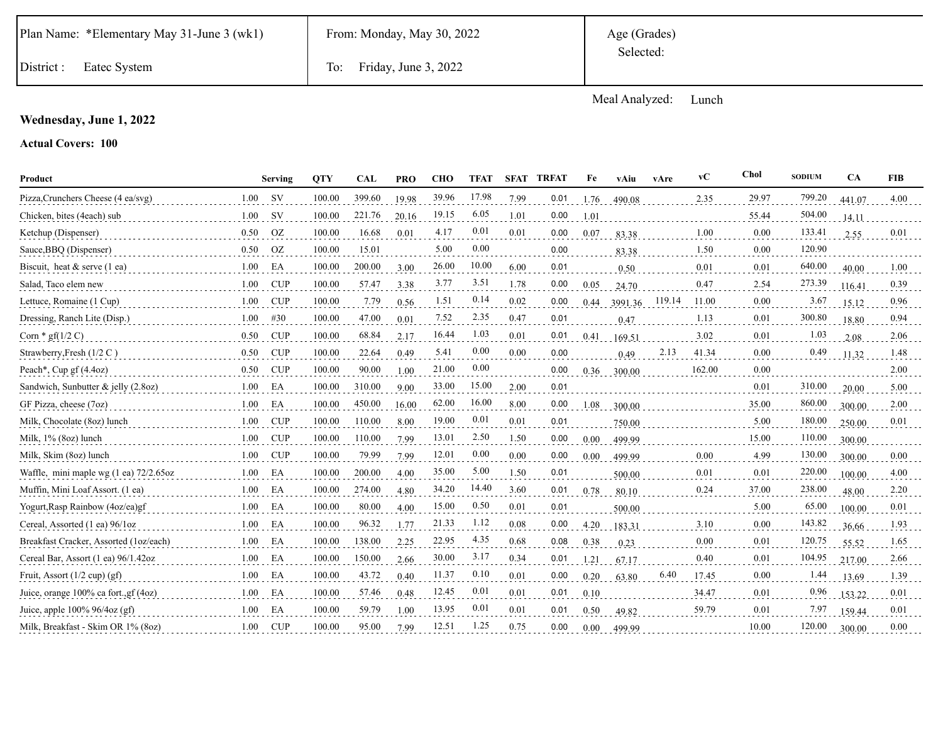|  | Plan Name: *Elementary May 31-June 3 (wk1) |  |  |  |
|--|--------------------------------------------|--|--|--|
|--|--------------------------------------------|--|--|--|

Age (Grades) Selected:

District : Eatec System To: Friday, June 3, 2022

Meal Analyzed: Lunch

## **Wednesday, June 1, 2022**

| Product                                  |      | Serving    | <b>OTY</b> | <b>CAL</b> | <b>PRO</b> | <b>CHO</b> | <b>TFAT</b> | <b>SFAT</b> | <b>TRFAT</b> | Fe   | vAiu    | vAre   | vC     | Chol  | <b>SODIUM</b> | <b>CA</b> | <b>FIB</b> |
|------------------------------------------|------|------------|------------|------------|------------|------------|-------------|-------------|--------------|------|---------|--------|--------|-------|---------------|-----------|------------|
| Pizza, Crunchers Cheese (4 ea/svg)       | 1.00 | <b>SV</b>  | 100.00     | 399.60     | 19.98      | 39.96      | 17.98       | 7.99        | 0.01         | 1.76 | 490.08  |        | 2.35   | 29.97 | 799.20        | 441.07    | 4.00       |
| Chicken, bites (4each) sub               | 1.00 | <b>SV</b>  | 100.00     | 221.76     | 20.16      | 19.15      | 6.05        | 1.01        | 0.00         | 1.01 |         |        |        | 55.44 | 504.00        | 14.11     |            |
| Ketchup (Dispenser)                      | 0.50 | <b>OZ</b>  | 100.00     | 16.68      | 0.01       | 4.17       | 0.01        | 0.01        | 0.00         | 0.07 | 83.38   |        | 1.00   | 0.00  | 133.41        | 2.55      | 0.01       |
| Sauce, BBQ (Dispenser)                   | 0.50 | <b>OZ</b>  | 100.00     | 15.01      |            | 5.00       | 0.00        |             | 0.00         |      | 83.38   |        | 1.50   | 0.00  | 120.90        |           |            |
| Biscuit, heat $&$ serve $(1 \text{ ea})$ | 1.00 | EA         | 100.00     | 200.00     | 3.00       | 26.00      | 10.00       | 6.00        | 0.01         |      | 0.50    |        | 0.01   | 0.01  | 640.00        | 40.00     | 1.00       |
| Salad, Taco elem new                     | 1.00 | CUP        | 100.00     | 57.47      | 3.38       | 3.77       | 3.51        | 1.78        | 0.00         | 0.05 | 24.70   |        | 0.47   | 2.54  | 273.39        | 116.41    | 0.39       |
| Lettuce, Romaine (1 Cup)                 | 1.00 | <b>CUP</b> | 100.00     | 7.79       | 0.56       | 1.51       | 0.14        | 0.02        | 0.00         | 0.44 | 3991.36 | 119.14 | 11.00  | 0.00  | 3.67          | 15.12     | 0.96       |
| Dressing, Ranch Lite (Disp.)             | 1.00 | #30        | 100.00     | 47.00      | 0.01       | 7.52       | 2.35        | 0.47        | 0.01         |      | 0.47    |        | 1.13   | 0.01  | 300.80        | 18.80     | 0.94       |
| Corn $*$ gf(1/2 C)                       | 0.50 | <b>CUP</b> | 100.00     | 68.84      | 2.17       | 16.44      | 1.03        | 0.01        | 0.01         | 0.41 | 169.51  |        | 3.02   | 0.01  | 1.03          | 2.08      | 2.06       |
| Strawberry, Fresh $(1/2 C)$              | 0.50 | <b>CUP</b> | 100.00     | 22.64      | 0.49       | 5.41       | 0.00        | 0.00        | 0.00         |      | 0.49    | 2.13   | 41.34  | 0.00  | 0.49          | 11.32     | 1.48       |
| Peach*, Cup gf (4.4oz)                   | 0.50 | <b>CUP</b> | 100.00     | 90.00      | 1.00       | 21.00      | 0.00        |             | 0.00         | 0.36 | 300.00  |        | 162.00 | 0.00  |               |           | 2.00       |
| Sandwich, Sunbutter & jelly (2.8oz)      | 1.00 | EA         | 100.00     | 310.00     | 9.00       | 33.00      | 15.00       | 2.00        | 0.01         |      |         |        |        | 0.01  | 310.00        | 20.00     | 5.00       |
| GF Pizza, cheese (7oz)                   | 1.00 | EA         | 100.00     | 450.00     | 16.00      | 62.00      | 16.00       | 8.00        | 0.00         | 1.08 | 300.00  |        |        | 35.00 | 860.00        | 300.00    | 2.00       |
| Milk, Chocolate (8oz) lunch              | 1.00 | CUP        | 100.00     | 110.00     | 8.00       | 19.00      | 0.01        | 0.01        | 0.01         |      | 750.00  |        |        | 5.00  | 180.00        | 250.00    | 0.01       |
| Milk, 1% (8oz) lunch                     | 1.00 | <b>CUP</b> | 100.00     | 110.00     | 7.99       | 13.01      | 2.50        | 1.50        | 0.00         | 0.00 | 499.99  |        |        | 15.00 | 110.00        | 300.00    |            |
| Milk, Skim (8oz) lunch                   | 1.00 | CUP        | 100.00     | 79.99      | 7.99       | 12.01      | 0.00        | 0.00        | 0.00         | 0.00 | 499.99  |        | 0.00   | 4.99  | 130.00        | 300.00    | 0.00       |
| Waffle, mini maple wg (1 ea) 72/2.65oz   | 1.00 | EA         | 100.00     | 200.00     | 4.00       | 35.00      | 5.00        | 1.50        | 0.01         |      | 500.00  |        | 0.01   | 0.01  | 220.00        | 100.00    | 4.00       |
| Muffin, Mini Loaf Assort. (1 ea)         | 1.00 | EA         | 100.00     | 274.00     | 4.80       | 34.20      | 14.40       | 3.60        | 0.01         | 0.78 | 80.10   |        | 0.24   | 37.00 | 238.00        | 48.00     | 2.20       |
| Yogurt, Rasp Rainbow (4oz/ea)gf          | 1.00 | EA         | 100.00     | 80.00      | 4.00       | 15.00      | 0.50        | 0.01        | 0.01         |      | 500.00  |        |        | 5.00  | 65.00         | 100.00    | 0.01       |
| Cereal, Assorted (1 ea) 96/1oz           | 1.00 | EA         | 100.00     | 96.32      | 1.77       | 21.33      | 1.12        | 0.08        | 0.00         | 4.20 | 183.31  |        | 3.10   | 0.00  | 143.82        | 36.66     | 1.93       |
| Breakfast Cracker, Assorted (1oz/each)   | 1.00 | EA         | 100.00     | 138.00     | 2.25       | 22.95      | 4.35        | 0.68        | 0.08         | 0.38 | 0.23    |        | 0.00   | 0.01  | 120.75        | 55.52     | 1.65       |
| Cereal Bar, Assort (1 ea) 96/1.42oz      | 1.00 | EA         | 100.00     | 150.00     | 2.66       | 30.00      | 3.17        | 0.34        | 0.01         | 1.21 | 67.17   |        | 0.40   | 0.01  | 104.95        | 217.00    | 2.66       |
| Fruit, Assort $(1/2$ cup) $(gf)$         | 1.00 | EA         | 100.00     | 43.72      | 0.40       | 11.37      | 0.10        | 0.01        | 0.00         | 0.20 | 63.80   | 6.40   | 17.45  | 0.00  | 1.44          | 13.69     | 1.39       |
| Juice, orange 100% ca fort., gf (4oz)    | 1.00 | EA         | 100.00     | 57.46      | 0.48       | 12.45      | 0.01        | 0.01        | 0.01         | 0.10 |         |        | 34.47  | 0.01  | 0.96          | 153.22    | 0.01       |
| Juice, apple $100\%$ 96/4oz (gf)         | 1.00 | EA         | 100.00     | 59.79      | 1.00       | 13.95      | 0.01        | 0.01        | 0.01         | 0.50 | 49.82   |        | 59.79  | 0.01  | 7.97          | 159.44    | 0.01       |
| Milk, Breakfast - Skim OR 1% (8oz)       | 1.00 | <b>CUP</b> | 100.00     | 95.00      | 7.99       | 12.51      | 1.25        | 0.75        | 0.00         | 0.00 | 499.99  |        |        | 10.00 | 120.00        | 300.00    | 0.00       |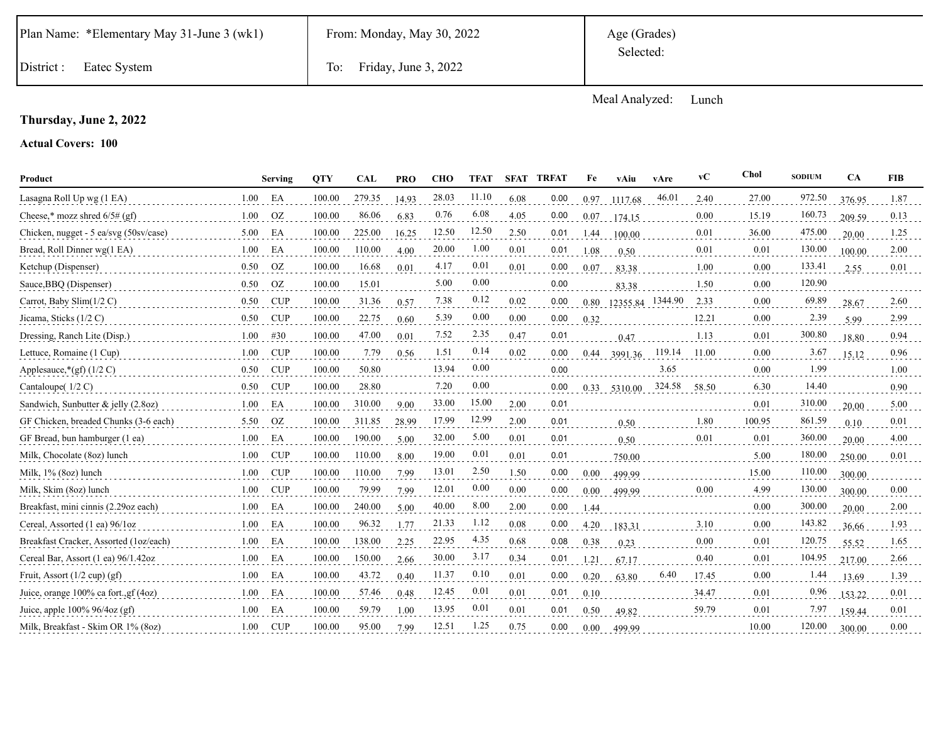|  | Plan Name: *Elementary May 31-June 3 (wk1) |  |  |  |
|--|--------------------------------------------|--|--|--|
|--|--------------------------------------------|--|--|--|

Age (Grades) Selected:

District : Eatec System To: Friday, June 3, 2022

Meal Analyzed: Lunch

## **Thursday, June 2, 2022**

| Product                                |      | <b>Serving</b> | <b>OTY</b> | <b>CAL</b> | <b>PRO</b> | <b>CHO</b> | <b>TFAT</b> | <b>SFAT</b> | <b>TRFAT</b> | Fe   | vAiu             | vAre   | vC    | Chol   | <b>SODIUM</b> | CA     | <b>FIB</b> |
|----------------------------------------|------|----------------|------------|------------|------------|------------|-------------|-------------|--------------|------|------------------|--------|-------|--------|---------------|--------|------------|
| Lasagna Roll Up wg (1 EA)              | 1.00 | EA             | 100.00     | 279.35     | 14.93      | 28.03      | 11.10       | 6.08        | 0.00         | 0.97 | 1117.68          | 46.01  | 2.40  | 27.00  | 972.50        | 376.95 | 1.87       |
| Cheese,* mozz shred $6/5\#$ (gf)       | 1.00 | <b>OZ</b>      | 100.00     | 86.06      | 6.83       | 0.76       | 6.08        | 4.05        | 0.00         | 0.07 | 174.15           |        | 0.00  | 15.19  | 160.73        | 209.59 | 0.13       |
| Chicken, nugget - 5 ea/svg (50sv/case) | 5.00 | EA             | 100.00     | 225.00     | 16.25      | 12.50      | 12.50       | 2.50        | 0.01         | 1.44 | 100.00           |        | 0.01  | 36.00  | 475.00        | 20.00  | 1.25       |
| Bread, Roll Dinner wg(1 EA)            | 1.00 | EA             | 100.00     | 110.00     | 4.00       | 20.00      | 1.00        | 0.01        | 0.01         | 1.08 | 0.50             |        | 0.01  | 0.01   | 130.00        | 100.00 | 2.00       |
| Ketchup (Dispenser)                    | 0.50 | OZ.            | 100.00     | 16.68      | 0.01       | 4.17       | 0.01        | 0.01        | 0.00         | 0.07 | 83.38            |        | 1.00  | 0.00   | 133.41        | 2.55   | 0.01       |
| Sauce, BBQ (Dispenser)                 | 0.50 | <b>OZ</b>      | 100.00     | 15.01      |            | 5.00       | 0.00        |             | 0.00         |      | 83.38            |        | 1.50  | 0.00   | 120.90        |        |            |
| Carrot, Baby Slim(1/2 C)               | 0.50 | <b>CUP</b>     | 100.00     | 31.36      | 0.57       | 7.38       | 0.12        | 0.02        | 0.00         | 0.80 | 12355.84 1344.90 |        | 2.33  | 0.00   | 69.89         | 28.67  | 2.60       |
| Jicama, Sticks (1/2 C)                 | 0.50 | <b>CUP</b>     | 100.00     | 22.75      | 0.60       | 5.39       | 0.00        | 0.00        | 0.00         | 0.32 |                  |        | 12.21 | 0.00   | 2.39          | 5.99   | 2.99       |
| Dressing, Ranch Lite (Disp.)           | 1.00 | #30            | 100.00     | 47.00      | 0.01       | 7.52       | 2.35        | 0.47        | 0.01         |      | 0.47             |        | 1.13  | 0.01   | 300.80        | 18.80  | 0.94       |
| Lettuce, Romaine (1 Cup)               | 1.00 | <b>CUP</b>     | 100.00     | 7.79       | 0.56       | 1.51       | 0.14        | 0.02        | 0.00         | 0.44 | 3991.36          | 119.14 | 11.00 | 0.00   | 3.67          | 15.12  | 0.96       |
| Applesauce,*(gf) $(1/2 C)$             | 0.50 | <b>CUP</b>     | 100.00     | 50.80      |            | 13.94      | 0.00        |             | 0.00         |      |                  | 3.65   |       | 0.00   | 1.99          |        | 1.00       |
| Cantaloupe $(1/2 C)$                   | 0.50 | <b>CUP</b>     | 100.00     | 28.80      |            | 7.20       | 0.00        |             | 0.00         |      | 0.33 5310.00     | 324.58 | 58.50 | 6.30   | 14.40         |        | 0.90       |
| Sandwich, Sunbutter & jelly (2.8oz)    | 1.00 | EA             | 100.00     | 310.00     | 9.00       | 33.00      | 15.00       | 2.00        | 0.01         |      |                  |        |       | 0.01   | 310.00        | 20.00  | 5.00       |
| GF Chicken, breaded Chunks (3-6 each)  | 5.50 | <b>OZ</b>      | 100.00     | 311.85     | 28.99      | 17.99      | 12.99       | 2.00        | 0.01         |      | 0.50             |        | 1.80  | 100.95 | 861.59        | 0.10   | 0.01       |
| GF Bread, bun hamburger (1 ea)         | 1.00 | EA             | 100.00     | 190.00     | 5.00       | 32.00      | 5.00        | 0.01        | 0.01         |      | 0.50             |        | 0.01  | 0.01   | 360.00        | 20.00  | 4.00       |
| Milk, Chocolate (8oz) lunch            | 1.00 | <b>CUP</b>     | 100.00     | 110.00     | 8.00       | 19.00      | 0.01        | 0.01        | 0.01         |      | 750.00           |        |       | 5.00   | 180.00        | 250.00 | 0.01       |
| Milk, 1% (8oz) lunch                   | 1.00 | <b>CUP</b>     | 100.00     | 110.00     | 7.99       | 13.01      | 2.50        | 1.50        | 0.00         | 0.00 | 499.99           |        |       | 15.00  | 110.00        | 300.00 |            |
| Milk, Skim (8oz) lunch                 | 1.00 | <b>CUP</b>     | 100.00     | 79.99      | 7.99       | 12.01      | 0.00        | 0.00        | 0.00         | 0.00 | 499.99           |        | 0.00  | 4.99   | 130.00        | 300.00 | 0.00       |
| Breakfast, mini cinnis (2.29oz each)   | 1.00 | EA             | 100.00     | 240.00     | 5.00       | 40.00      | 8.00        | 2.00        | 0.00         | 1.44 |                  |        |       | 0.00   | 300.00        | 20.00  | 2.00       |
| Cereal, Assorted (1 ea) 96/1oz         | 1.00 | EA             | 100.00     | 96.32      | 1.77       | 21.33      | 1.12        | 0.08        | 0.00         | 4.20 | 183.31           |        | 3.10  | 0.00   | 143.82        | 36.66  | 1.93       |
| Breakfast Cracker, Assorted (1oz/each) | 1.00 | EA             | 100.00     | 138.00     | 2.25       | 22.95      | 4.35        | 0.68        | 0.08         | 0.38 | 0.23             |        | 0.00  | 0.01   | 120.75        | 55.52  | 1.65       |
| Cereal Bar, Assort (1 ea) 96/1.42oz    | 1.00 | EA             | 100.00     | 150.00     | 2.66       | 30.00      | 3.17        | 0.34        | 0.01         | 1.21 | 67.17            |        | 0.40  | 0.01   | 104.95        | 217.00 | 2.66       |
| Fruit, Assort $(1/2 \text{ cup}) (gf)$ | 1.00 | EA             | 100.00     | 43.72      | 0.40       | 11.37      | 0.10        | 0.01        | 0.00         | 0.20 | 63.80            | 6.40   | 17.45 | 0.00   | 1.44          | 13.69  | 1.39       |
| Juice, orange 100% ca fort., gf (4oz)  | 1.00 | EA             | 100.00     | 57.46      | 0.48       | 12.45      | 0.01        | 0.01        | 0.01         | 0.10 |                  |        | 34.47 | 0.01   | 0.96          | 153.22 | 0.01       |
| Juice, apple $100\%$ 96/4oz (gf)       | 1.00 | EA             | 100.00     | 59.79      | 1.00       | 13.95      | 0.01        | 0.01        | 0.01         | 0.50 | 49.82            |        | 59.79 | 0.01   | 7.97          | 159.44 | 0.01       |
| Milk, Breakfast - Skim OR 1% (80z)     | 1.00 | <b>CUP</b>     | 100.00     | 95.00      | 7.99       | 12.51      | 1.25        | 0.75        | 0.00         | 0.00 | 499.99           |        |       | 10.00  | 120.00        | 300.00 | 0.00       |